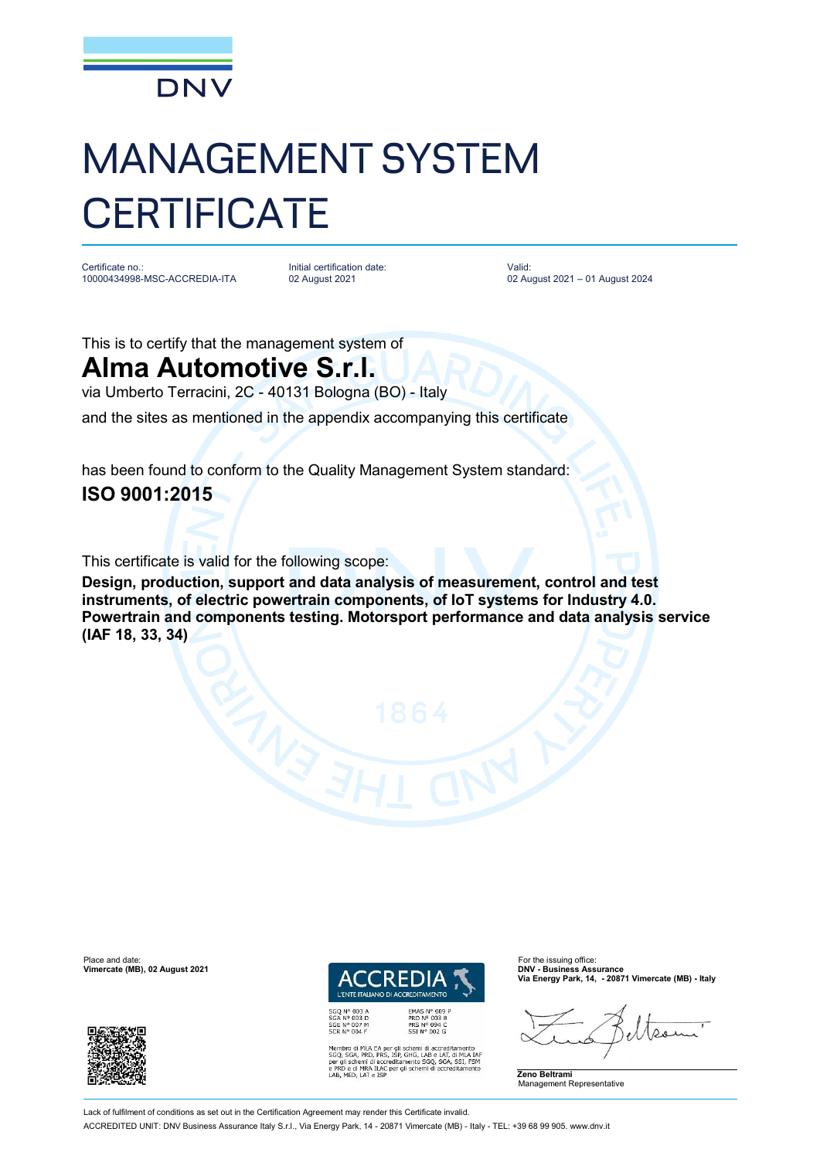

## MANAGEMENT SYSTEM **CERTIFICATE**

Certificate no.: 10000434998-MSC-ACCREDIA-ITA

Initial certification date: 02 August 2021

Valid: 02 August 2021 – 01 August 2024

This is to certify that the management system of

## **Alma Automotive S.r.l.**

via Umberto Terracini, 2C - 40131 Bologna (BO) - Italy

and the sites as mentioned in the appendix accompanying this certificate

has been found to conform to the Quality Management System standard: **ISO 9001:2015**

This certificate is valid for the following scope:

**Design, production, support and data analysis of measurement, control and test instruments, of electric powertrain components, of IoT systems for Industry 4.0. Powertrain and components testing. Motorsport performance and data analysis service (IAF 18, 33, 34)**



EMAS N° 009<br>PRD N° 003 B<br>PRS N° 094 C<br>SSI N° 002 G Membro di MLA EA per gli schemi di accreditamento<br>SGQ, SGA, PRD, PRS, ISP, GHG, LAB e LAT, di MLA IAF<br>per gli schemi di accreditamento SGQ, SGA, SSI, FSM<br>e PRD e di MRA ILAC per gli schemi di accreditamento<br>LAB, MED, LAT e **Via Energy Park, 14, - 20871 Vimercate (MB) - Italy**

**Zeno Beltrami** Management Representative





Lack of fulfilment of conditions as set out in the Certification Agreement may render this Certificate invalid

ACCREDITED UNIT: DNV Business Assurance Italy S.r.l., Via Energy Park, 14 - 20871 Vimercate (MB) - Italy - TEL: +39 68 99 905. [www.dnv.it](http://www.dnv.it)